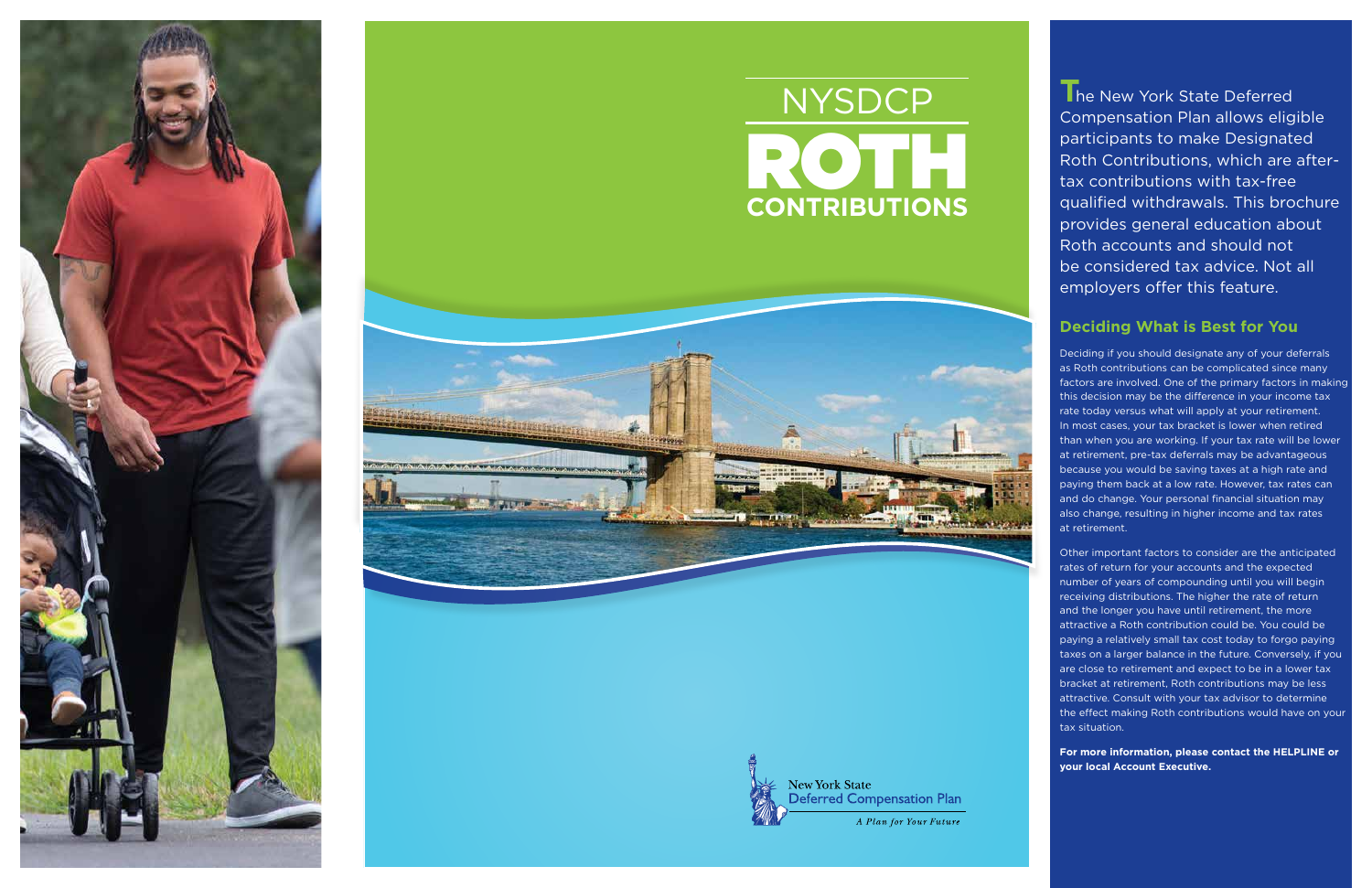**The New York State Deferred** Compensation Plan allows eligible participants to make Designated Roth Contributions, which are aftertax contributions with tax-free qualified withdrawals. This brochure provides general education about Roth accounts and should not be considered tax advice. Not all employers offer this feature.

# **Deciding What is Best for You**

Deciding if you should designate any of your deferrals as Roth contributions can be complicated since many factors are involved. One of the primary factors in making this decision may be the difference in your income tax rate today versus what will apply at your retirement. In most cases, your tax bracket is lower when retired than when you are working. If your tax rate will be lower at retirement, pre-tax deferrals may be advantageous because you would be saving taxes at a high rate and paying them back at a low rate. However, tax rates can and do change. Your personal financial situation may also change, resulting in higher income and tax rates at retirement.



# ROTH **CONTRIBUTIONS** NYSDCP





Other important factors to consider are the anticipated rates of return for your accounts and the expected number of years of compounding until you will begin receiving distributions. The higher the rate of return and the longer you have until retirement, the more attractive a Roth contribution could be. You could be paying a relatively small tax cost today to forgo paying taxes on a larger balance in the future. Conversely, if you are close to retirement and expect to be in a lower tax bracket at retirement, Roth contributions may be less attractive. Consult with your tax advisor to determine the effect making Roth contributions would have on your tax situation.

**For more information, please contact the HELPLINE or your local Account Executive.**